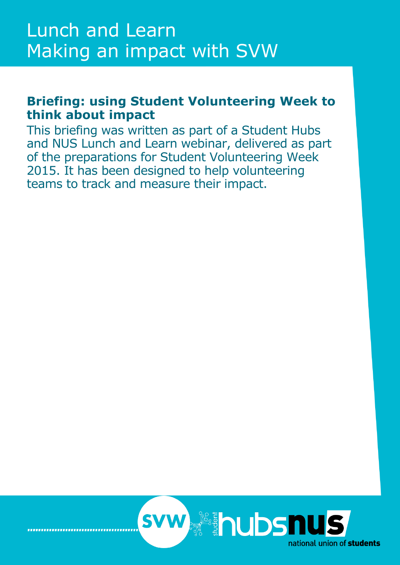# **Briefing: using Student Volunteering Week to think about impact**

This briefing was written as part of a Student Hubs and NUS Lunch and Learn webinar, delivered as part of the preparations for Student Volunteering Week 2015. It has been designed to help volunteering teams to track and measure their impact.